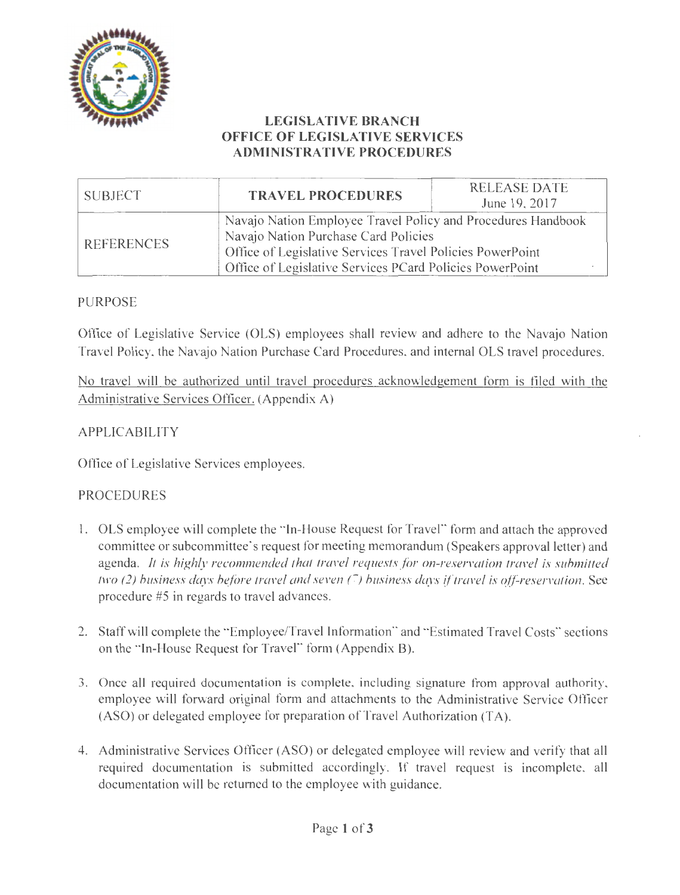

### **LEGISLATIVE BRANCH OFFICE OF LEGISLATIVE SERVICES ADMINISTRATIVE PROCEDURES**

| SUBJECT           | <b>TRAVEL PROCEDURES</b>                                                                                                                                                                                                      | <b>RELEASE DATE</b><br>June 19, 2017 |  |  |
|-------------------|-------------------------------------------------------------------------------------------------------------------------------------------------------------------------------------------------------------------------------|--------------------------------------|--|--|
| <b>REFERENCES</b> | Navajo Nation Employee Travel Policy and Procedures Handbook<br>Navajo Nation Purchase Card Policies<br>Office of Legislative Services Travel Policies PowerPoint<br>Office of Legislative Services PCard Policies PowerPoint |                                      |  |  |

### PURPOSE

Office of Legislative Service (OLS) employees shall review and adhere to the Navajo Nation Travel Policy, the Navajo Nation Purchase Card Procedures, and internal OLS travel procedures.

No travel will be authorized until travel procedures acknowledgement form is filed with the Administrative Services Officer. (Appendix A)

### APPLICABILITY

Office of Legislative Services employees.

### PROCEDURES

- 1. OLS employee will complete the "In-House Request for Travel" form and attach the approved committee or subcommittee's request for meeting memorandum (Speakers approval letter) and agenda. *It is highly recommended that travel requests for on-reservation travel is submitted two (2) business days before travel and seven (7) business days if travel is off-reservation.* See procedure #5 in regards to travel advances.
- 2. Staff will complete the "Employee/Travel Information" and "Estimated Travel Costs" sections on the "In-House Request for Travel" form (Appendix B).
- 3. Once all required documentation is complete, including signature from approval authority, employee will forward original form and attachments to the Administrative Service Officer (ASO) or delegated employee for preparation of Travel Authorization (TA).
- 4. Administrative Services Officer (ASO) or delegated employee will review and verify that all required documentation is submitted accordingly. If travel request is incomplete, all documentation will be returned to the employee with guidance.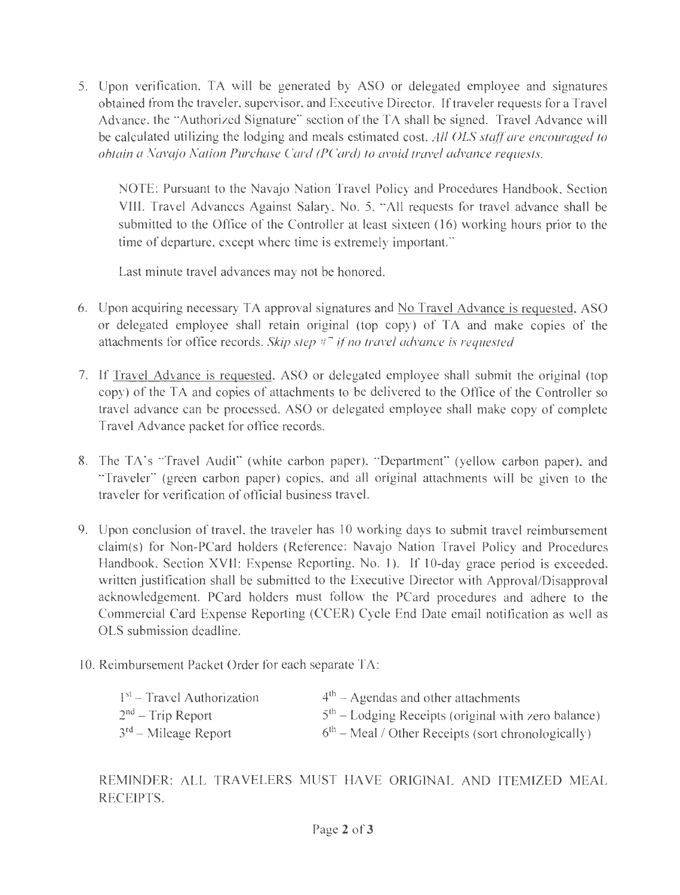5. Upon verification, TA will be generated by ASO or delegated employee and signatures obtained from the traveler, supervisor, and Executive Director. If traveler requests for a Travel Advance, the "Authorized Signature" section of the TA shall be signed. Travel Advance will be calculated utilizing the lodging and meals estimated cost. *All OLS staff are encouraged to obtain a Navajo Nation Purchase Card (PCard) to avoid travel advance requests.* 

NOTE: Pursuant to the Navajo Nation Travel Policy and Procedures Handbook, Section VIII. Travel Advances Against Salary, No. 5, "All requests for travel advance shall be submitted to the Office of the Controller at least sixteen (16) working hours prior to the time of departure, except where time is extremely important."

Last minute travel advances may not be honored.

- 6. Upon acquiring necessary TA approval signatures and No Travel Advance is requested, ASO or delegated employee shall retain original (top copy) of TA and make copies of the attachments for office records. *Skip step* #7 *if no travel advance is requested*
- 7. If Travel Advance is requested, ASO or delegated employee shall submit the original (top copy) of the TA and copies of attachments to be delivered to the Office of the Controller so travel advance can be processed. ASO or delegated employee shall make copy of complete Travel Advance packet for office records.
- 8. The TA's "Travel Audit" (white carbon paper), "Department" (yellow carbon paper), and "Traveler" (green carbon paper) copies, and all original attachments will be given to the traveler for verification of official business travel.
- 9. Upon conclusion of travel, the traveler has 10 working days to submit travel reimbursement claim(s) for Non-PCard holders (Reference: Navajo Nation Travel Policy and Procedures Handbook, Section XVII: Expense Reporting, No. 1). If 10-day grace period is exceeded, written justification shall be submitted to the Executive Director with Approval/Disapproval acknowledgement. PCard holders must follow the PCard procedures and adhere to the Commercial Card Expense Reporting (CCER) Cycle End Date email notification as well as OLS submission deadline.
- 10. Reimbursement Packet Order for each separate TA:

| $1st$ – Travel Authorization | $4th$ – Agendas and other attachments                 |
|------------------------------|-------------------------------------------------------|
| $2nd$ – Trip Report          | $5th$ – Lodging Receipts (original with zero balance) |
| $3rd$ – Mileage Report       | $6th$ – Meal / Other Receipts (sort chronologically)  |

REMINDER: ALL TRAVELERS MUST HAVE ORIGINAL AND ITEMIZED MEAL RECEIPTS.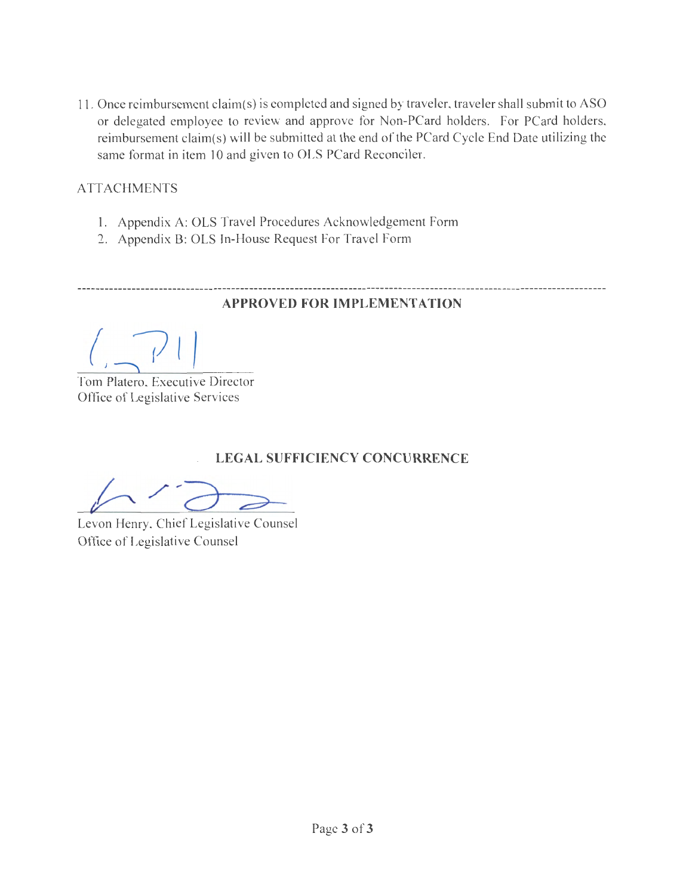11. Once reimbursement claim(s) is completed and signed by traveler, traveler shall submit to ASO or delegated employee to review and approve for Non-PCard holders. For PCard holders, reimbursement claim(s) will be submitted at the end of the PCard Cycle End Date utilizing the same format in item 10 and given to OLS PCard Reconciler.

### **ATTACHMENTS**

- 1. Appendix A: OLS Travel Procedures Acknowledgement Form
- 2. Appendix B: OLS In-House Request For Travel Form

----------------------------

### **APPROVED FOR IMPLEMENTATION**

Tom Platero, Executive Director Office of Legislative Services

### **LEGAL SUFFICIENCY CONCURRENCE**

Levon Henry, Chief Legislative Counsel Office of Legislative Counsel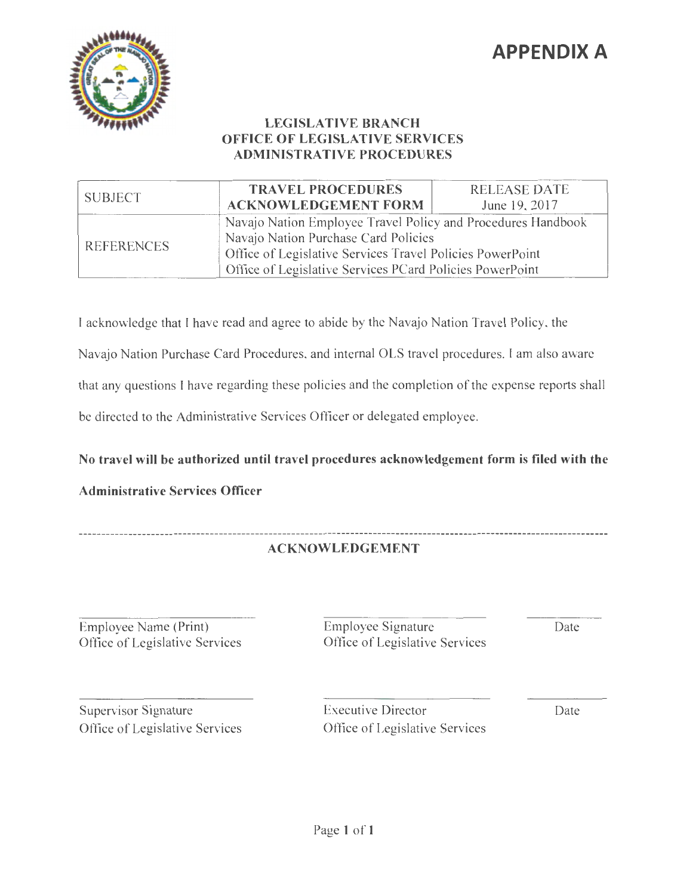# **APPENDIX A**



### **LEGISLATIVE BRANCH OFFICE OF LEGISLATIVE SERVICES ADMINISTRATIVE PROCEDURES**

| <b>SUBJECT</b>    | <b>TRAVEL PROCEDURES</b><br><b>ACKNOWLEDGEMENT FORM</b>                                                                                                       | <b>RELEASE DATE</b><br>June 19, 2017                         |  |
|-------------------|---------------------------------------------------------------------------------------------------------------------------------------------------------------|--------------------------------------------------------------|--|
| <b>REFERENCES</b> | Navajo Nation Purchase Card Policies<br>Office of Legislative Services Travel Policies PowerPoint<br>Office of Legislative Services PCard Policies PowerPoint | Navajo Nation Employee Travel Policy and Procedures Handbook |  |

I acknowledge that I have read and agree to abide by the Navajo Nation Travel Policy, the Navajo Nation Purchase Card Procedures, and internal OLS travel procedures. I am also aware that any questions I have regarding these policies and the completion of the expense reports shall be directed to the Administrative Services Officer or delegated employee.

### **No travel will be authorized until travel procedures acknowledgement form is filed with the**

### **Administrative Services Officer**

#### **ACKNOWLEDGEMENT**

Employee Name (Print) Office of Legislative Services Employee Signature Date Office of Legislative Services

Supervisor Signature Office of Legislative Services Executive Director Date Office of Legislative Services